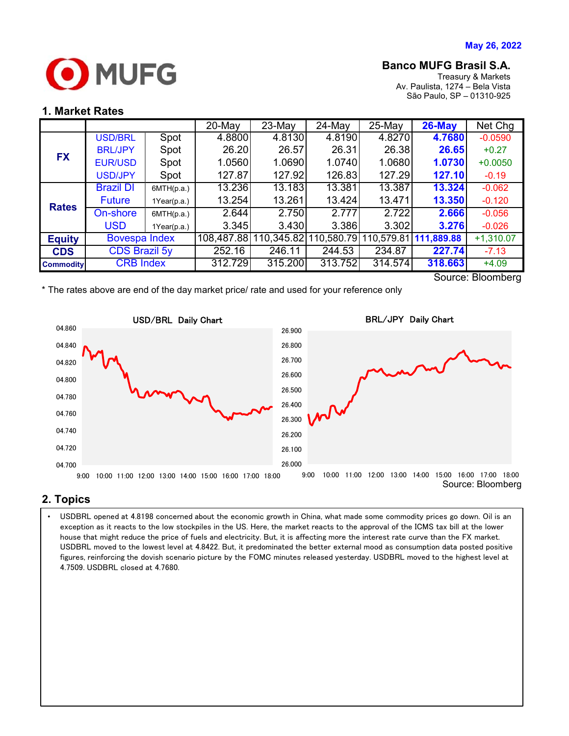

# **Banco MUFG Brasil S.A.**

Treasury & Markets Av. Paulista, 1274 – Bela Vista São Paulo, SP – 01310-925

## **1. Market Rates**

|                  |                      |             | $20$ -May | 23-May                | 24-May     | $25-Mav$ | $26$ -May             | Net Chg           |
|------------------|----------------------|-------------|-----------|-----------------------|------------|----------|-----------------------|-------------------|
| <b>FX</b>        | <b>USD/BRL</b>       | Spot        | 4.8800    | 4.8130                | 4.8190     | 4.8270   | 4.7680                | $-0.0590$         |
|                  | <b>BRL/JPY</b>       | Spot        | 26.20     | 26.57                 | 26.31      | 26.38    | 26.65                 | $+0.27$           |
|                  | <b>EUR/USD</b>       | Spot        | 1.0560    | 1.0690                | 1.0740     | 1.0680   | 1.0730                | $+0.0050$         |
|                  | <b>USD/JPY</b>       | Spot        | 127.87    | 127.92                | 126.83     | 127.29   | 127.10                | $-0.19$           |
| <b>Rates</b>     | <b>Brazil DI</b>     | 6MTH(p.a.)  | 13.236    | 13.183                | 13.381     | 13.387   | 13.324                | $-0.062$          |
|                  | <b>Future</b>        | 1Year(p.a.) | 13.254    | 13.261                | 13.424     | 13.471   | 13.350                | $-0.120$          |
|                  | On-shore             | 6MTH(p.a.)  | 2.644     | 2.750                 | 2.777      | 2.722    | 2.666                 | $-0.056$          |
|                  | <b>USD</b>           | 1Year(p.a.) | 3.345     | 3.430                 | 3.386      | 3.302    | 3.276                 | $-0.026$          |
| <b>Equity</b>    | <b>Bovespa Index</b> |             |           | 108,487.88 110,345.82 | 110,580.79 |          | 110,579.81 111,889.88 | $+1,310.07$       |
| <b>CDS</b>       | <b>CDS Brazil 5y</b> |             | 252.16    | 246.11                | 244.53     | 234.87   | 227.74                | $-7.13$           |
| <b>Commodity</b> | <b>CRB</b> Index     |             | 312.729   | 315.200               | 313.752    | 314.574  | 318.663               | $+4.09$           |
|                  |                      |             |           |                       |            |          |                       | Source: Ploomborg |

Source: Bloomberg

\* The rates above are end of the day market price/ rate and used for your reference only



### **2. Topics**

USDBRL moved to the lowest level at 4.8422. But, it predominated the better external mood as consumption data posted positive  $\; \; \; | \;$ • USDBRL opened at 4.8198 concerned about the economic growth in China, what made some commodity prices go down. Oil is an exception as it reacts to the low stockpiles in the US. Here, the market reacts to the approval of the ICMS tax bill at the lower house that might reduce the price of fuels and electricity. But, it is affecting more the interest rate curve than the FX market. figures, reinforcing the dovish scenario picture by the FOMC minutes released yesterday. USDBRL moved to the highest level at 4.7509. USDBRL closed at 4.7680.